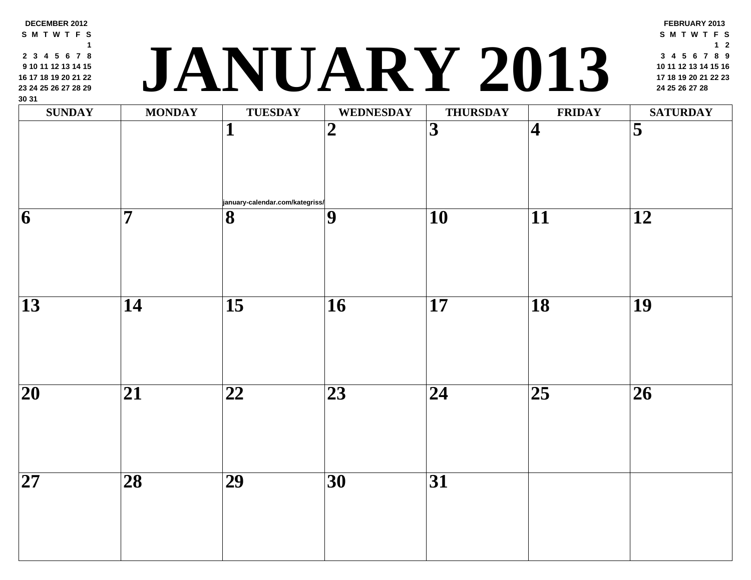| <b>SUNDAY</b>   | <b>MONDAY</b>   | <b>TUESDAY</b>                                             | <b>WEDNESDAY</b> | <b>THURSDAY</b> | <b>FRII</b>             |
|-----------------|-----------------|------------------------------------------------------------|------------------|-----------------|-------------------------|
|                 |                 | 1                                                          | $\boldsymbol{2}$ | 3               | $\overline{\mathbf{4}}$ |
| 6               | 7               | january-calendar.com/kategriss/<br>$\overline{\mathbf{8}}$ | $\boldsymbol{9}$ | 10              | 11                      |
|                 |                 |                                                            |                  |                 |                         |
| 13              | 14              | $\overline{15}$                                            | 16               | 17              | 18                      |
|                 |                 |                                                            |                  |                 |                         |
| $\overline{20}$ | 21              | 22                                                         | 23               | 24              | $\overline{25}$         |
|                 |                 |                                                            |                  |                 |                         |
| $\overline{27}$ | $\overline{28}$ | $\overline{29}$                                            | $\overline{30}$  | $\overline{31}$ |                         |

**DECEMBER 2012 S M T W T F S**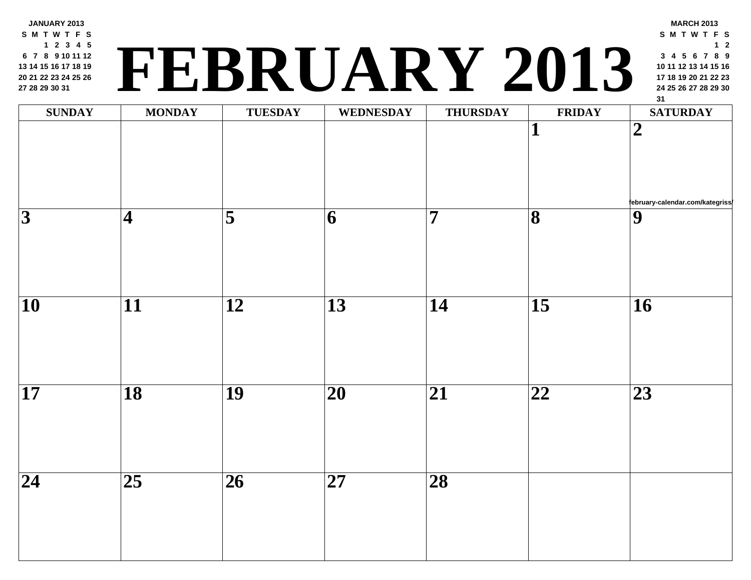**JANUARY 2013 S M T W T F S 2 3 4 5 7 8 9 10 11 12 14 15 16 17 18 19 21 22 23 24 25 26 28 29 30 31**

# **<sup>24</sup> <sup>25</sup> <sup>26</sup> <sup>27</sup> <sup>28</sup> <sup>29</sup> <sup>30</sup> FEBRUARY 2013**

| <b>SUNDAY</b>   | <b>MONDAY</b>          | TUESDAY                 | WEDNESDAY                | <b>THURSDAY</b>         | FRII                         |
|-----------------|------------------------|-------------------------|--------------------------|-------------------------|------------------------------|
|                 |                        |                         |                          |                         | $\mathbf{1}$                 |
| $\overline{3}$  | $\vert\mathbf{4}\vert$ | $\overline{\mathbf{5}}$ | 6                        | $\overline{\mathbf{7}}$ | $\overline{\mathbf{8}}$      |
| $\overline{10}$ | $\overline{11}$        | $\overline{12}$         | $\overline{13}$          | $\overline{14}$         | $\overline{15}$              |
| $\overline{17}$ | $\overline{18}$        | $\overline{19}$         | $\overline{20}$          | $\overline{21}$         | $\overline{\boldsymbol{22}}$ |
| $\overline{24}$ | $\overline{25}$        | $\overline{26}$         | $\overline{\mathbf{27}}$ | $\overline{28}$         |                              |
|                 |                        |                         |                          |                         |                              |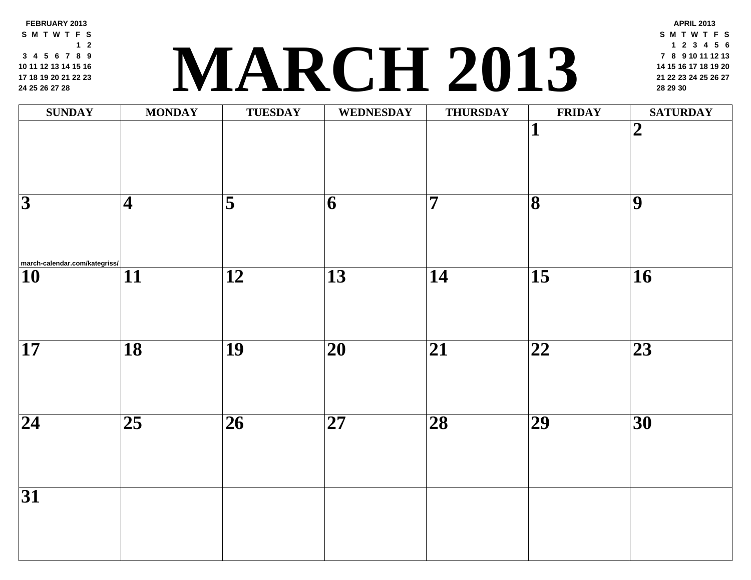**FEBRUARY 2013 S M T W T F S 2 4 5 6 7 8 9 11 12 13 14 15 16 18 19 20 21 22 23 [25](http://march-calendar.com/kategriss/) 26 27 28**

# **<sup>21</sup> <sup>22</sup> <sup>23</sup> <sup>24</sup> <sup>25</sup> <sup>26</sup> <sup>27</sup> MARCH 2013 <sup>28</sup> <sup>29</sup> <sup>30</sup>**

| <b>SUNDAY</b>                                                  | <b>MONDAY</b>           | <b>TUESDAY</b>      | <b>WEDNESDAY</b> | <b>THURSDAY</b>         | FRII                         |
|----------------------------------------------------------------|-------------------------|---------------------|------------------|-------------------------|------------------------------|
|                                                                |                         |                     |                  |                         | $\mathbf{1}$                 |
|                                                                |                         |                     |                  |                         |                              |
|                                                                |                         |                     |                  |                         |                              |
| $\overline{3}$                                                 | $\overline{\mathbf{4}}$ | $\overline{\bf{5}}$ | 6                | $\overline{\mathbf{7}}$ | $\overline{\mathbf{8}}$      |
|                                                                |                         |                     |                  |                         |                              |
|                                                                |                         |                     |                  |                         |                              |
| $\boxed{\left.\mathbf{10}\right.^{march-calendar.com/kategy}}$ | $\overline{11}$         | $\overline{12}$     | $\overline{13}$  | $\overline{14}$         | $\overline{15}$              |
|                                                                |                         |                     |                  |                         |                              |
|                                                                |                         |                     |                  |                         |                              |
| $\overline{17}$                                                | $\overline{18}$         | $\overline{19}$     | $\overline{20}$  | $\overline{21}$         | $\overline{\boldsymbol{22}}$ |
|                                                                |                         |                     |                  |                         |                              |
|                                                                |                         |                     |                  |                         |                              |
| $\overline{24}$                                                | $\overline{25}$         | $\overline{26}$     | $\overline{27}$  | $\overline{28}$         | $\overline{29}$              |
|                                                                |                         |                     |                  |                         |                              |
|                                                                |                         |                     |                  |                         |                              |
| $\overline{31}$                                                |                         |                     |                  |                         |                              |
|                                                                |                         |                     |                  |                         |                              |
|                                                                |                         |                     |                  |                         |                              |
|                                                                |                         |                     |                  |                         |                              |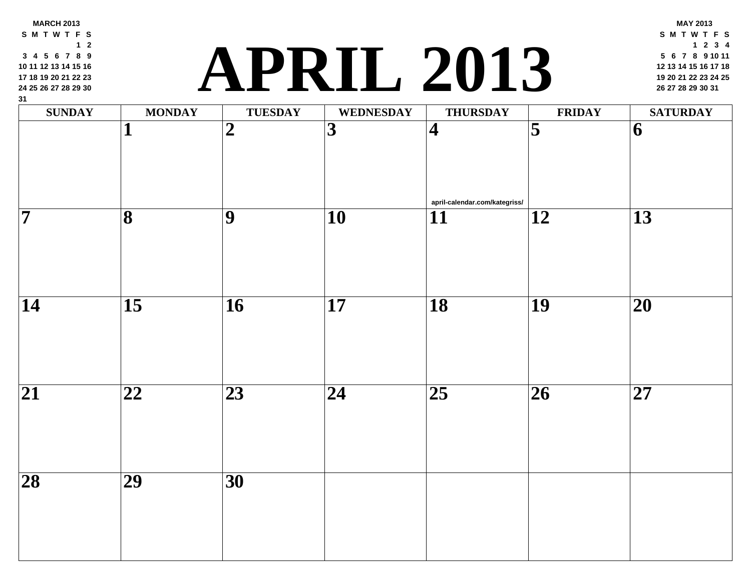# **<sup>19</sup> <sup>20</sup> <sup>21</sup> <sup>22</sup> <sup>23</sup> <sup>24</sup> <sup>25</sup> APRIL 2013 <sup>26</sup> <sup>27</sup> <sup>28</sup> <sup>29</sup> <sup>30</sup> <sup>31</sup>**

| $\frac{31}{2}$<br>$\mathbf{SUNDAY}$ | <b>MONDAY</b>           | <b>TUESDAY</b>  | WEDNESDAY               | <b>THURSDAY</b>                                  | FRII            |
|-------------------------------------|-------------------------|-----------------|-------------------------|--------------------------------------------------|-----------------|
|                                     | $\mathbf{1}$            | $\overline{2}$  | $\overline{\mathbf{3}}$ | $\vert 4 \vert$                                  | $\overline{5}$  |
| $\overline{\mathbf{7}}$             | $\overline{\mathbf{8}}$ | $\overline{9}$  | $\overline{10}$         | april-calendar.com/kategriss/<br>$\overline{11}$ | $\overline{12}$ |
|                                     |                         |                 |                         |                                                  |                 |
| $\overline{14}$                     | $\overline{15}$         | $\overline{16}$ | $\overline{17}$         | $\overline{18}$                                  | $\overline{19}$ |
| $\overline{21}$                     | $\overline{22}$         | $\overline{23}$ | $\overline{24}$         | $\overline{25}$                                  | $\overline{26}$ |
| $\overline{28}$                     | $\overline{29}$         | $\overline{30}$ |                         |                                                  |                 |
|                                     |                         |                 |                         |                                                  |                 |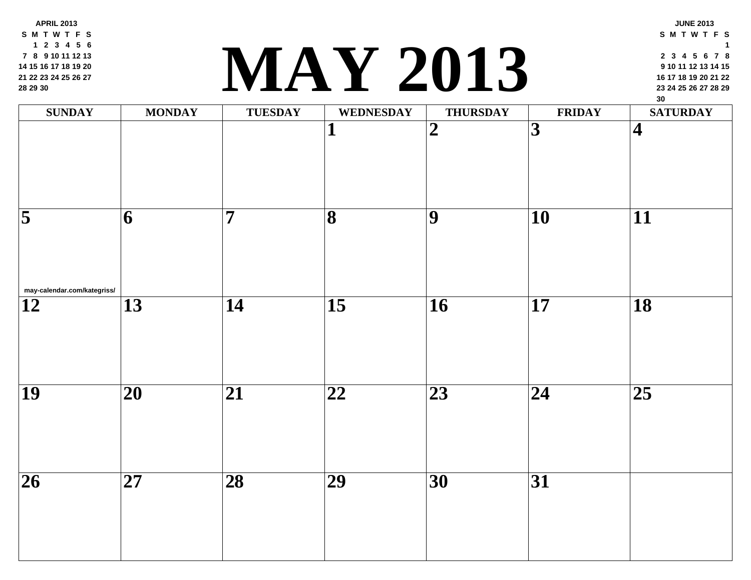**APRIL 2013 S M T W T F S 2 3 4 5 6 8 9 10 11 12 13 15 16 17 18 19 20 22 23 24 25 26 27 29 30**

### **<sup>23</sup> <sup>24</sup> <sup>25</sup> <sup>26</sup> <sup>27</sup> <sup>28</sup> <sup>29</sup> MAY 2013**

| <b>SUNDAY</b>                                          | <b>MONDAY</b>   | <b>TUESDAY</b>  | WEDNESDAY               | <b>THURSDAY</b> | FRII            |
|--------------------------------------------------------|-----------------|-----------------|-------------------------|-----------------|-----------------|
|                                                        |                 |                 | $\mathbf{1}$            | $\overline{2}$  | $\overline{3}$  |
| $\overline{\mathbf{5}}$<br>may-calendar.com/kategriss/ | $\overline{6}$  | $\overline{7}$  | $\overline{\mathbf{8}}$ | $\overline{9}$  | $\overline{10}$ |
| $\overline{12}$                                        | $\overline{13}$ | $\overline{14}$ | $\overline{15}$         | $\overline{16}$ | $\overline{17}$ |
| $\overline{19}$                                        | $\overline{20}$ | $\overline{21}$ | $\overline{22}$         | $\overline{23}$ | $\overline{24}$ |
| $\overline{26}$                                        | $\overline{27}$ | $\overline{28}$ | $\overline{29}$         | $\overline{30}$ | $\overline{31}$ |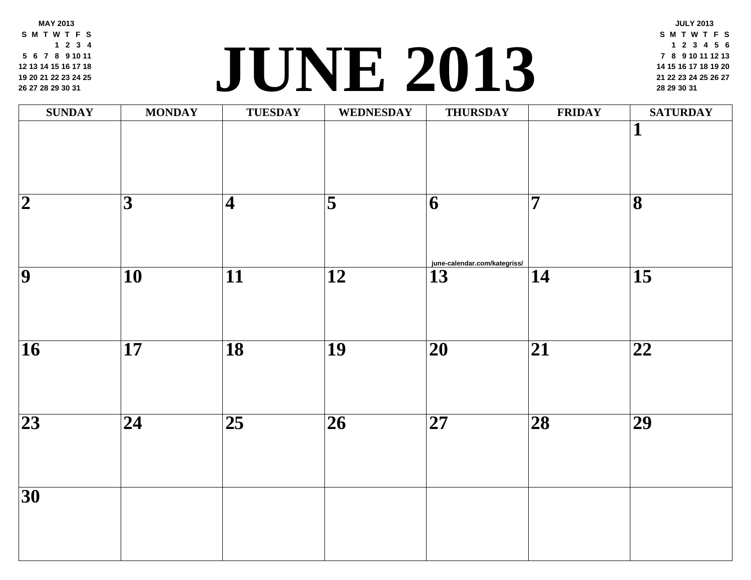**MAY 2013 S M T W T F S 2 3 4 6 7 8 9 10 11 13 14 15 16 17 18 20 21 22 23 24 25 27 28 29 30 31**

### **<sup>21</sup> <sup>22</sup> <sup>23</sup> <sup>24</sup> <sup>25</sup> <sup>26</sup> <sup>27</sup> JUNE [2013](http://june-calendar.com/kategriss/) <sup>28</sup> <sup>29</sup> <sup>30</sup> <sup>31</sup>**

| <b>SUNDAY</b>           | <b>MONDAY</b>           | <b>TUESDAY</b>          | WEDNESDAY                | <b>THURSDAY</b>              | FRII            |
|-------------------------|-------------------------|-------------------------|--------------------------|------------------------------|-----------------|
|                         |                         |                         |                          |                              |                 |
|                         |                         |                         |                          |                              |                 |
| $\overline{\mathbf{2}}$ | $\overline{\mathbf{3}}$ | $\overline{\mathbf{4}}$ | $\overline{\mathbf{5}}$  | $\vert 6 \vert$              | $\overline{7}$  |
|                         |                         |                         |                          |                              |                 |
|                         |                         |                         |                          | june-calendar.com/kategriss/ |                 |
| $\overline{9}$          | $\overline{10}$         | $\overline{11}$         | $\overline{12}$          | $\overline{13}$              | $\overline{14}$ |
|                         |                         |                         |                          |                              |                 |
| $\overline{16}$         | $\overline{17}$         | $\overline{18}$         | $\overline{19}$          | $\overline{20}$              | $\overline{21}$ |
|                         |                         |                         |                          |                              |                 |
|                         |                         |                         |                          |                              |                 |
| $\overline{23}$         | $\overline{24}$         | $\overline{25}$         | $\overline{\mathbf{26}}$ | $\overline{27}$              | $\overline{28}$ |
|                         |                         |                         |                          |                              |                 |
|                         |                         |                         |                          |                              |                 |
| $\overline{30}$         |                         |                         |                          |                              |                 |
|                         |                         |                         |                          |                              |                 |
|                         |                         |                         |                          |                              |                 |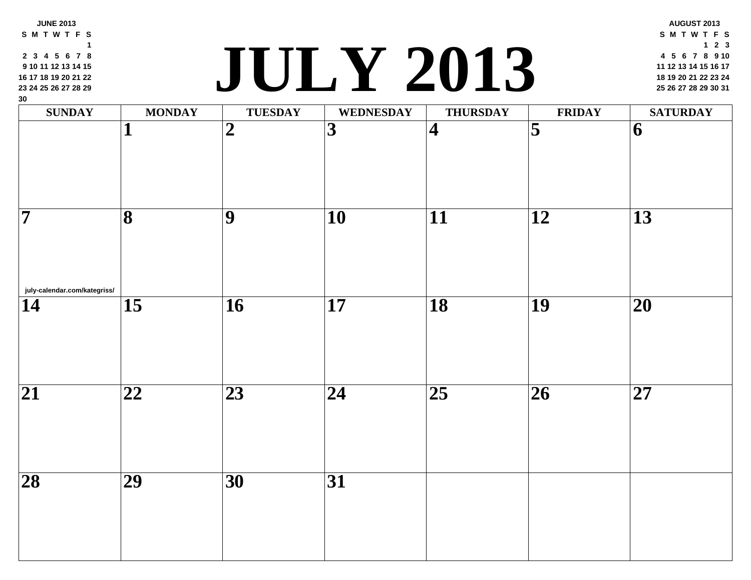| 16 17 18 19 20 21 22<br>23 24 25 26 27 28 29<br>30<br><b>SUNDAY</b> | <b>MONDAY</b>           | <b>TUESDAY</b>  | JULY ZUIS<br><b>WEDNESDAY</b> | <b>THURSDAY</b>         | FRII                    |
|---------------------------------------------------------------------|-------------------------|-----------------|-------------------------------|-------------------------|-------------------------|
|                                                                     |                         | $\overline{2}$  | $\overline{3}$                | $\overline{\mathbf{4}}$ | $\overline{\mathbf{5}}$ |
| 7                                                                   | $\overline{\mathbf{8}}$ | $\overline{9}$  | 10                            | $\overline{11}$         | 12                      |
| july-calendar.com/kategriss/<br>14                                  | $\overline{15}$         | $\overline{16}$ | $\overline{17}$               | $\overline{18}$         | $\overline{19}$         |
| $\overline{21}$                                                     | $\overline{22}$         | $\overline{23}$ | $\overline{24}$               | $\overline{25}$         | $\overline{26}$         |
| $\overline{28}$                                                     | $\overline{29}$         | 30              | $\overline{31}$               |                         |                         |
|                                                                     |                         |                 |                               |                         |                         |

**JUNE 2013 S M T W T F S 3 4 5 6 7 8**

#### **<sup>18</sup> <sup>19</sup> <sup>20</sup> <sup>21</sup> <sup>22</sup> <sup>23</sup> <sup>24</sup> JULY 2013 <sup>25</sup> <sup>26</sup> <sup>27</sup> <sup>28</sup> <sup>29</sup> <sup>30</sup> <sup>31</sup>**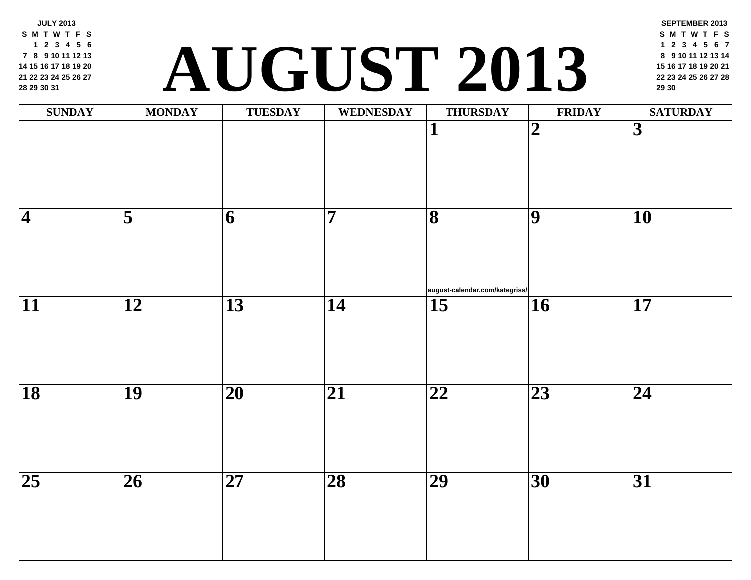**JULY 2013 S M T W T F S 2 3 4 5 6 8 9 10 11 12 13 15 16 17 18 19 20 22 23 24 25 26 27 29 30 31**

# **<sup>22</sup> <sup>23</sup> <sup>24</sup> <sup>25</sup> <sup>26</sup> <sup>27</sup> <sup>28</sup> AUGUST 2013 <sup>29</sup> <sup>30</sup>**

| <b>SUNDAY</b>   | <b>MONDAY</b>       | TUESDAY                  | WEDNESDAY                | <b>THURSDAY</b>                                                   | FRII                     |
|-----------------|---------------------|--------------------------|--------------------------|-------------------------------------------------------------------|--------------------------|
|                 |                     |                          |                          | $\mathbf 1$                                                       | $\overline{\mathbf{2}}$  |
| $\overline{4}$  | $\overline{\bf{5}}$ | $\overline{\mathbf{6}}$  | $\overline{7}$           | $\overline{\mathbf{8}}$<br>$ $ august-calendar.com/kategriss/ $ $ | $\overline{9}$           |
| $\overline{11}$ | $\overline{12}$     | $\overline{13}$          | $\overline{14}$          | $\overline{15}$                                                   | $\overline{\mathbf{16}}$ |
| $\overline{18}$ | $\overline{19}$     | $\overline{\mathbf{20}}$ | $\overline{\mathbf{21}}$ | $\overline{\mathbf{22}}$                                          | $\overline{23}$          |
| $\overline{25}$ | $\overline{26}$     | $\overline{27}$          | $\overline{28}$          | $\overline{29}$                                                   | $\overline{30}$          |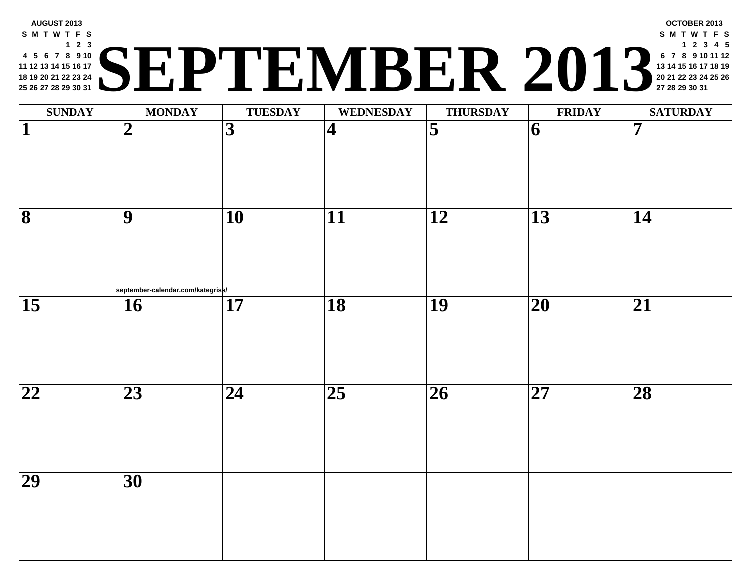#### **AUGUST 2013 S M T W T F S 2 3 5 6 7 8 9 10 12 13 14 15 16 17 19 20 21 22 23 24 26 27 28 29 30 31 <sup>20</sup> <sup>21</sup> <sup>22</sup> <sup>23</sup> <sup>24</sup> <sup>25</sup> <sup>26</sup> SEPTEMBER 2013 <sup>27</sup> <sup>28</sup> <sup>29</sup> <sup>30</sup> <sup>31</sup>**

| $\overline{\mathbf{5}}$<br>$\overline{\mathbf{3}}$<br>$\overline{\mathbf{1}}$<br>$\boldsymbol{2}$<br>$\overline{\mathbf{4}}$<br>$\vert 6 \vert$<br>$\overline{9}$<br>$\overline{10}$<br>$\overline{12}$<br>$\overline{13}$<br>$\overline{11}$<br>september-calendar.com/kategriss/<br>$\overline{18}$<br>$\overline{19}$<br>$\overline{\mathbf{20}}$<br>$\overline{17}$<br>$\overline{16}$<br>$\overline{25}$<br>$\overline{26}$<br>$\overline{\mathbf{27}}$<br>$\overline{23}$<br>$\overline{24}$<br>$\overline{30}$ | <b>SUNDAY</b> | <b>MONDAY</b> | <b>TUESDAY</b> | <b>WEDNESDAY</b> | <b>THURSDAY</b> | <b>FRII</b> |
|-----------------------------------------------------------------------------------------------------------------------------------------------------------------------------------------------------------------------------------------------------------------------------------------------------------------------------------------------------------------------------------------------------------------------------------------------------------------------------------------------------------------------|---------------|---------------|----------------|------------------|-----------------|-------------|
| $\overline{\mathbf{8}}$<br>$\overline{15}$<br>$\overline{22}$<br>$\overline{29}$                                                                                                                                                                                                                                                                                                                                                                                                                                      |               |               |                |                  |                 |             |
|                                                                                                                                                                                                                                                                                                                                                                                                                                                                                                                       |               |               |                |                  |                 |             |
|                                                                                                                                                                                                                                                                                                                                                                                                                                                                                                                       |               |               |                |                  |                 |             |
|                                                                                                                                                                                                                                                                                                                                                                                                                                                                                                                       |               |               |                |                  |                 |             |
|                                                                                                                                                                                                                                                                                                                                                                                                                                                                                                                       |               |               |                |                  |                 |             |
|                                                                                                                                                                                                                                                                                                                                                                                                                                                                                                                       |               |               |                |                  |                 |             |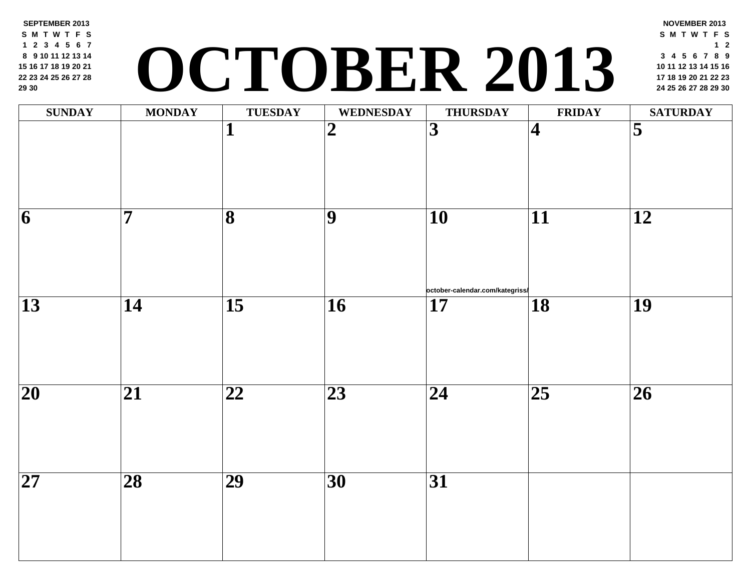**SEPTEMBER 2013 S M T W T F S 2 3 4 5 6 7 9 10 11 12 13 14 16 17 18 19 20 21 23 24 25 26 27 28 30**

# **<sup>17</sup> <sup>18</sup> <sup>19</sup> <sup>20</sup> <sup>21</sup> <sup>22</sup> <sup>23</sup> OCTOBER 2013 <sup>24</sup> <sup>25</sup> <sup>26</sup> <sup>27</sup> <sup>28</sup> <sup>29</sup> <sup>30</sup>**

| <b>SUNDAY</b>           | <b>MONDAY</b>   | <b>TUESDAY</b>           | WEDNESDAY       | <b>THURSDAY</b>                                    | FRII                     |
|-------------------------|-----------------|--------------------------|-----------------|----------------------------------------------------|--------------------------|
|                         |                 | $\overline{\mathbf{1}}$  | $\overline{2}$  | $\overline{3}$                                     | $\overline{\mathcal{A}}$ |
| $\overline{\mathbf{6}}$ | $\overline{7}$  | $\overline{\mathbf{8}}$  | $\overline{9}$  | $\overline{10}$                                    | $\overline{11}$          |
| $\overline{13}$         | 14              | $\overline{15}$          | $\overline{16}$ | october-calendar.com/kategriss/<br>$\overline{17}$ | $\overline{18}$          |
| $\overline{20}$         | $\overline{21}$ | $\overline{\mathbf{22}}$ | $\overline{23}$ | $\overline{24}$                                    | $\overline{25}$          |
| $\overline{27}$         | $\overline{28}$ | $\overline{29}$          | $\overline{30}$ | $\overline{31}$                                    |                          |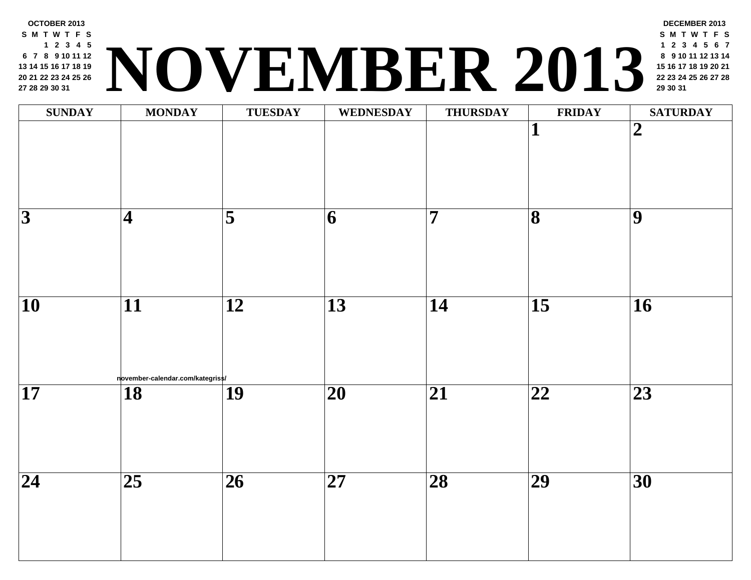

| <b>SUNDAY</b>            | <b>MONDAY</b>                                       | <b>TUESDAY</b>      | <b>WEDNESDAY</b>         | <b>THURSDAY</b>          | FRII                    |
|--------------------------|-----------------------------------------------------|---------------------|--------------------------|--------------------------|-------------------------|
|                          |                                                     |                     |                          |                          | $\overline{\mathbf{1}}$ |
| $\overline{\mathbf{3}}$  | $\overline{\mathbf{4}}$                             | $\overline{\bf{5}}$ | $\overline{\mathbf{6}}$  | $\overline{7}$           | $\overline{\mathbf{8}}$ |
| $\overline{10}$          | $\overline{11}$                                     | $\overline{12}$     | $\overline{13}$          | $\overline{14}$          | $\overline{15}$         |
| $\overline{\mathbf{17}}$ | november-calendar.com/kategriss/<br>$\overline{18}$ | $\overline{19}$     | $\overline{\mathbf{20}}$ | $\overline{\mathbf{21}}$ | $\overline{22}$         |
| $\overline{24}$          | $\overline{25}$                                     | $\overline{26}$     | $\overline{27}$          | $\overline{\mathbf{28}}$ | $\overline{29}$         |
|                          |                                                     |                     |                          |                          |                         |